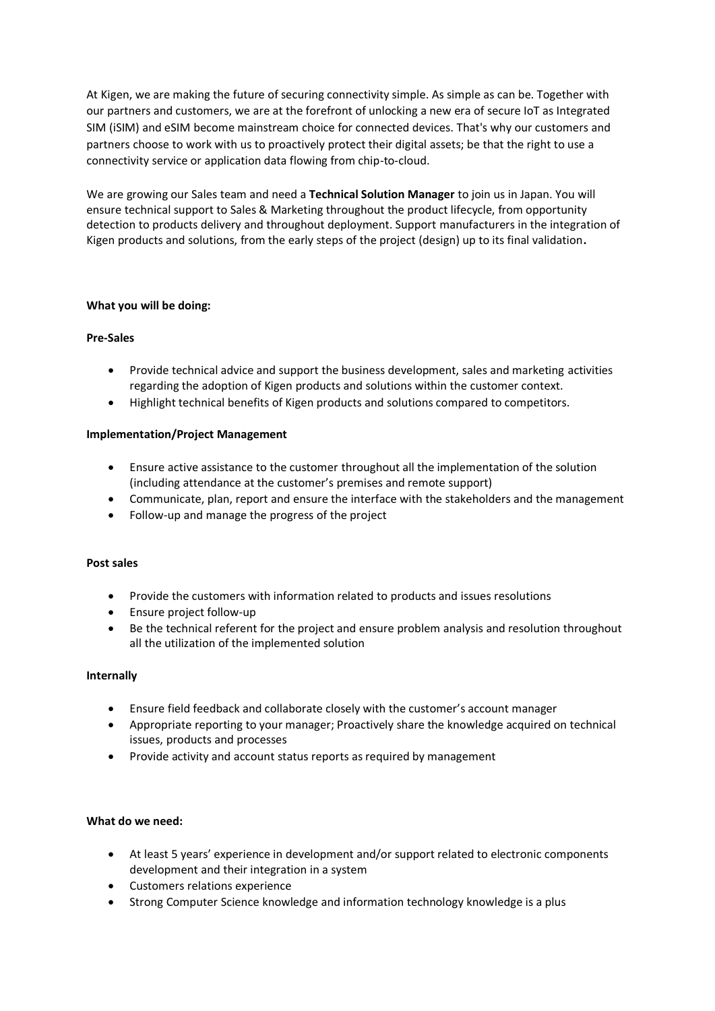At Kigen, we are making the future of securing connectivity simple. As simple as can be. Together with our partners and customers, we are at the forefront of unlocking a new era of secure IoT as Integrated SIM (iSIM) and eSIM become mainstream choice for connected devices. That's why our customers and partners choose to work with us to proactively protect their digital assets; be that the right to use a connectivity service or application data flowing from chip-to-cloud.

We are growing our Sales team and need a **Technical Solution Manager** to join us in Japan. You will ensure technical support to Sales & Marketing throughout the product lifecycle, from opportunity detection to products delivery and throughout deployment. Support manufacturers in the integration of Kigen products and solutions, from the early steps of the project (design) up to its final validation**.**

# **What you will be doing:**

# **Pre-Sales**

- Provide technical advice and support the business development, sales and marketing activities regarding the adoption of Kigen products and solutions within the customer context.
- Highlight technical benefits of Kigen products and solutions compared to competitors.

# **Implementation/Project Management**

- Ensure active assistance to the customer throughout all the implementation of the solution (including attendance at the customer's premises and remote support)
- Communicate, plan, report and ensure the interface with the stakeholders and the management
- Follow-up and manage the progress of the project

# **Post sales**

- Provide the customers with information related to products and issues resolutions
- Ensure project follow-up
- Be the technical referent for the project and ensure problem analysis and resolution throughout all the utilization of the implemented solution

# **Internally**

- Ensure field feedback and collaborate closely with the customer's account manager
- Appropriate reporting to your manager; Proactively share the knowledge acquired on technical issues, products and processes
- Provide activity and account status reports as required by management

### **What do we need:**

- At least 5 years' experience in development and/or support related to electronic components development and their integration in a system
- Customers relations experience
- Strong Computer Science knowledge and information technology knowledge is a plus